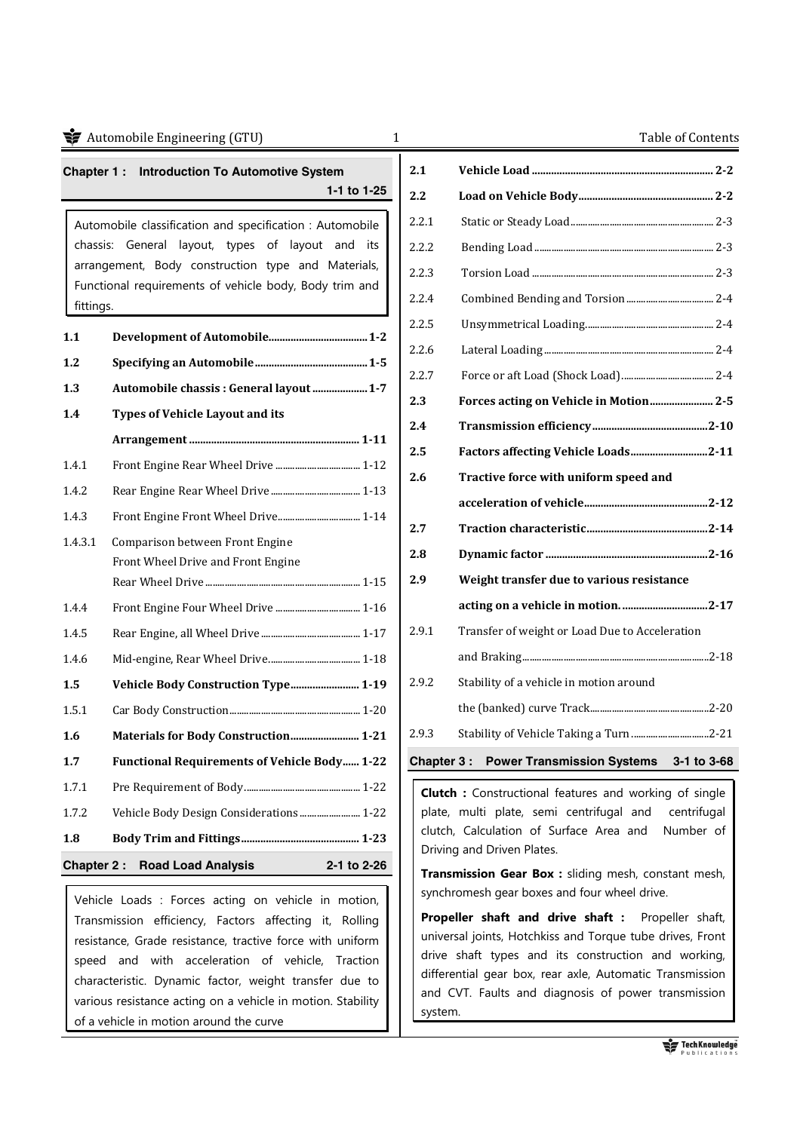|                                                  | Automobile Engineering (GTU)<br>1                        |            | Table of Contents                                                                  |
|--------------------------------------------------|----------------------------------------------------------|------------|------------------------------------------------------------------------------------|
| Chapter 1: Introduction To Automotive System     |                                                          | 2.1        |                                                                                    |
|                                                  | 1-1 to 1-25                                              | 2.2        |                                                                                    |
|                                                  | Automobile classification and specification : Automobile | 2.2.1      |                                                                                    |
| chassis: General layout, types of layout and its |                                                          | 2.2.2      |                                                                                    |
|                                                  | arrangement, Body construction type and Materials,       | 2.2.3      |                                                                                    |
| fittings.                                        | Functional requirements of vehicle body, Body trim and   | 2.2.4      |                                                                                    |
| 1.1                                              |                                                          | 2.2.5      |                                                                                    |
| 1.2                                              |                                                          | 2.2.6      |                                                                                    |
| 1.3                                              | Automobile chassis : General layout  1-7                 | 2.2.7      |                                                                                    |
| 1.4                                              | <b>Types of Vehicle Layout and its</b>                   | 2.3        |                                                                                    |
|                                                  |                                                          | 2.4        |                                                                                    |
| 1.4.1                                            |                                                          | 2.5        | Factors affecting Vehicle Loads2-11                                                |
| 1.4.2                                            |                                                          | 2.6        | Tractive force with uniform speed and                                              |
| 1.4.3                                            | Front Engine Front Wheel Drive 1-14                      |            |                                                                                    |
| 1.4.3.1                                          | Comparison between Front Engine                          | 2.7        |                                                                                    |
|                                                  | Front Wheel Drive and Front Engine                       | 2.8        |                                                                                    |
|                                                  |                                                          | 2.9        | Weight transfer due to various resistance                                          |
| 1.4.4                                            |                                                          |            |                                                                                    |
| 1.4.5                                            |                                                          | 2.9.1      | Transfer of weight or Load Due to Acceleration                                     |
| 1.4.6                                            |                                                          |            |                                                                                    |
| 1.5                                              | Vehicle Body Construction Type 1-19                      | 2.9.2      | Stability of a vehicle in motion around                                            |
| 1.5.1                                            |                                                          |            |                                                                                    |
| 1.6                                              | Materials for Body Construction 1-21                     | 2.9.3      | Stability of Vehicle Taking a Turn 2-21                                            |
| 1.7                                              | <b>Functional Requirements of Vehicle Body 1-22</b>      | Chapter 3: | <b>Power Transmission Systems</b><br>$3 - 1$ to $3 - 68$                           |
| 1.7.1                                            |                                                          |            | <b>Clutch</b> : Constructional features and working of single                      |
| 1.7.2                                            | Vehicle Body Design Considerations 1-22                  |            | plate, multi plate, semi centrifugal and<br>centrifugal                            |
| 1.8                                              |                                                          |            | clutch, Calculation of Surface Area and<br>Number of<br>Driving and Driven Plates. |
| Chapter 2:                                       | <b>Road Load Analysis</b><br>2-1 to 2-26                 |            | Transmission Gear Box : sliding mesh, constant mesh,                               |
|                                                  |                                                          |            | synchromesh gear boxes and four wheel drive.                                       |

Vehicle Loads : Forces acting on vehicle in motion, Transmission efficiency, Factors affecting it, Rolling resistance, Grade resistance, tractive force with uniform speed and with acceleration of vehicle, Traction characteristic. Dynamic factor, weight transfer due to various resistance acting on a vehicle in motion. Stability of a vehicle in motion around the curve

| 2.1        |                                                  |
|------------|--------------------------------------------------|
| 2.2        |                                                  |
| 2.2.1      |                                                  |
| 2.2.2      |                                                  |
| 2.2.3      |                                                  |
| 2.2.4      |                                                  |
| 2.2.5      |                                                  |
| 2.2.6      |                                                  |
| 2.2.7      |                                                  |
| 2.3        |                                                  |
| 2.4        |                                                  |
| 2.5        | Factors affecting Vehicle Loads2-11              |
| 2.6        | Tractive force with uniform speed and            |
|            |                                                  |
| 2.7        |                                                  |
| 2.8        |                                                  |
| 2.9        | Weight transfer due to various resistance        |
|            | acting on a vehicle in motion. 2-17              |
| 2.9.1      | Transfer of weight or Load Due to Acceleration   |
|            |                                                  |
| 2.9.2      | Stability of a vehicle in motion around          |
|            |                                                  |
| 2.9.3      | Stability of Vehicle Taking a Turn 2-21          |
| Chapter 3: | <b>Power Transmission Systems</b><br>3-1 to 3-68 |

**Transmission Gear Box :** sliding mesh, constant mesh, synchromesh gear boxes and four wheel drive.

**Propeller shaft and drive shaft :** Propeller shaft, universal joints, Hotchkiss and Torque tube drives, Front drive shaft types and its construction and working, differential gear box, rear axle, Automatic Transmission and CVT. Faults and diagnosis of power transmission system.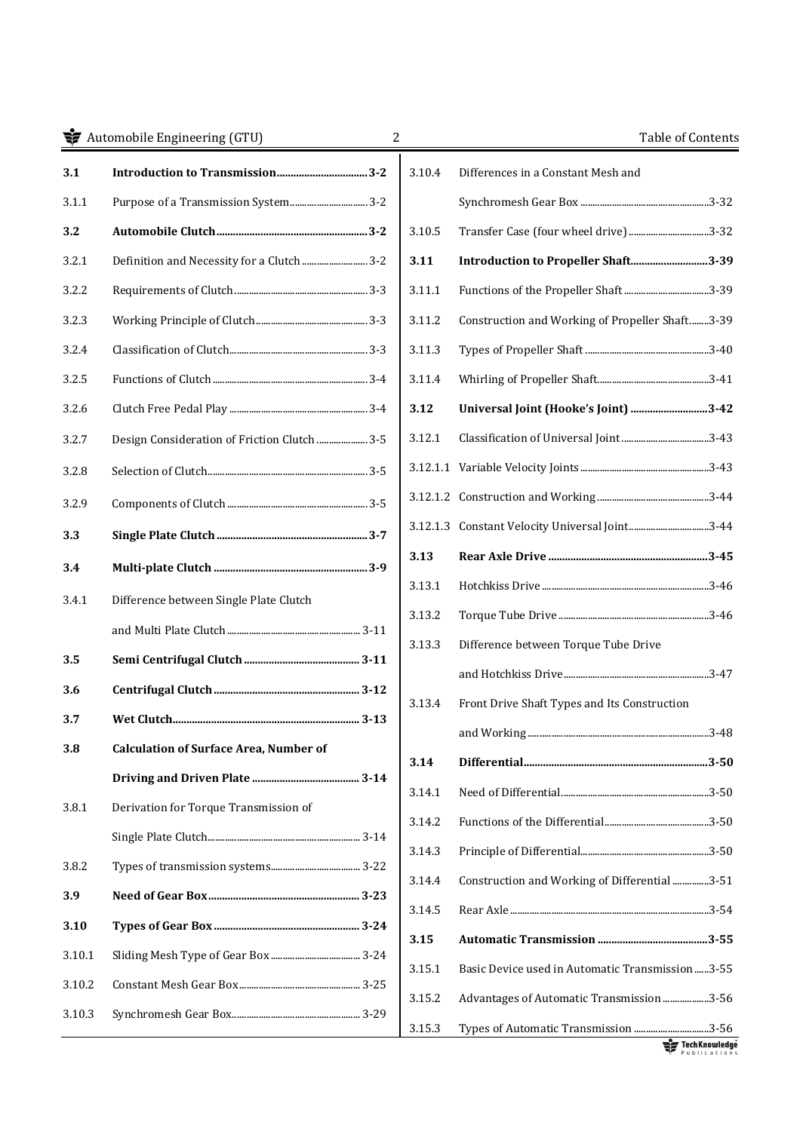| Automobile Engineering (GTU) |                                               | 2      | Table of Contents                               |
|------------------------------|-----------------------------------------------|--------|-------------------------------------------------|
| 3.1                          |                                               | 3.10.4 | Differences in a Constant Mesh and              |
| 3.1.1                        |                                               |        |                                                 |
| 3.2                          |                                               | 3.10.5 | Transfer Case (four wheel drive)3-32            |
| 3.2.1                        | Definition and Necessity for a Clutch  3-2    | 3.11   | Introduction to Propeller Shaft3-39             |
| 3.2.2                        |                                               | 3.11.1 |                                                 |
| 3.2.3                        |                                               | 3.11.2 | Construction and Working of Propeller Shaft3-39 |
| 3.2.4                        |                                               | 3.11.3 |                                                 |
| 3.2.5                        |                                               | 3.11.4 |                                                 |
| 3.2.6                        |                                               | 3.12   | Universal Joint (Hooke's Joint) 3-42            |
| 3.2.7                        | Design Consideration of Friction Clutch  3-5  | 3.12.1 |                                                 |
| 3.2.8                        |                                               |        |                                                 |
| 3.2.9                        |                                               |        |                                                 |
| 3.3                          |                                               |        |                                                 |
| 3.4                          |                                               | 3.13   |                                                 |
| 3.4.1                        | Difference between Single Plate Clutch        | 3.13.1 |                                                 |
|                              |                                               | 3.13.2 |                                                 |
| 3.5                          |                                               | 3.13.3 | Difference between Torque Tube Drive            |
| 3.6                          |                                               |        |                                                 |
| 3.7                          |                                               | 3.13.4 | Front Drive Shaft Types and Its Construction    |
| 3.8                          | <b>Calculation of Surface Area, Number of</b> |        |                                                 |
|                              |                                               | 3.14   |                                                 |
|                              | Derivation for Torque Transmission of         | 3.14.1 |                                                 |
| 3.8.1                        |                                               | 3.14.2 |                                                 |
|                              |                                               | 3.14.3 |                                                 |
| 3.8.2                        |                                               | 3.14.4 | Construction and Working of Differential 3-51   |
| 3.9                          |                                               | 3.14.5 |                                                 |
| 3.10                         |                                               | 3.15   |                                                 |
| 3.10.1                       |                                               | 3.15.1 | Basic Device used in Automatic Transmission3-55 |
| 3.10.2                       |                                               | 3.15.2 | Advantages of Automatic Transmission 3-56       |
| 3.10.3                       |                                               | 3.15.3 | Types of Automatic Transmission 3-56            |

Tech Knowledge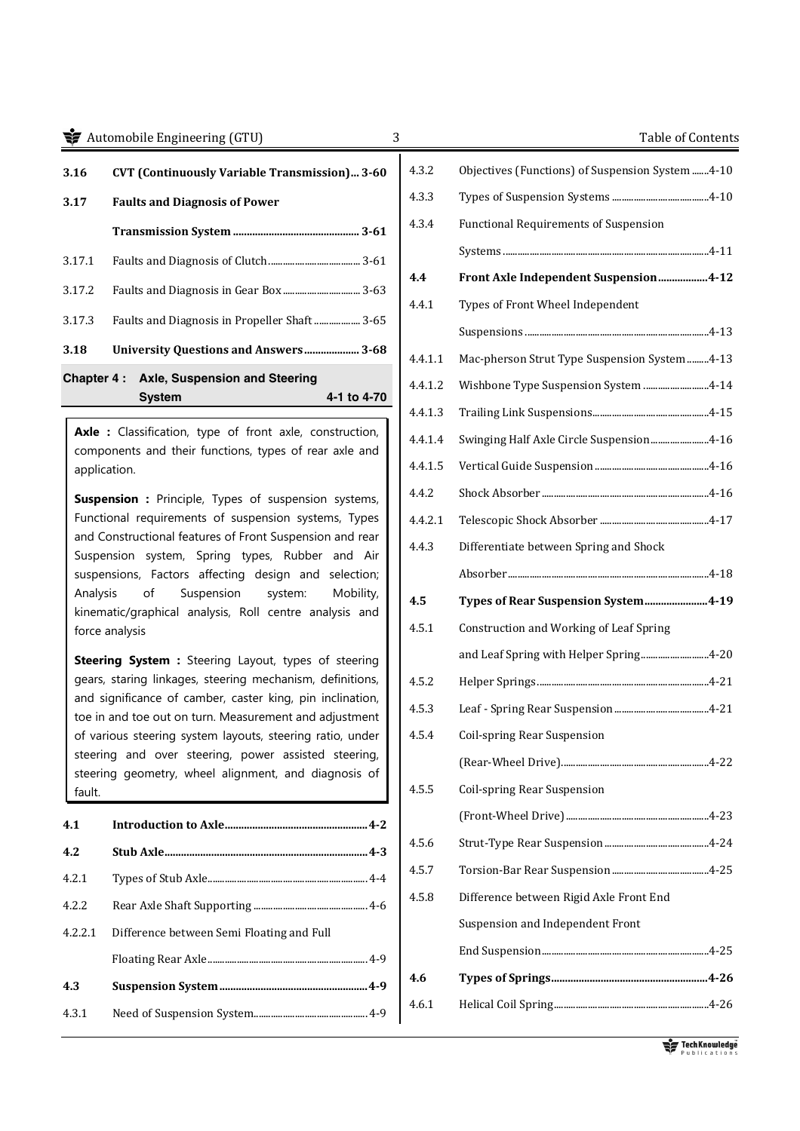### **The Set of Contents** Automobile Engineering (GTU) 3 Table of Contents

| 3.16   | <b>CVT (Continuously Variable Transmission) 3-60</b> |             |
|--------|------------------------------------------------------|-------------|
| 3.17   | <b>Faults and Diagnosis of Power</b>                 |             |
|        |                                                      |             |
| 3.17.1 |                                                      |             |
| 3.17.2 |                                                      |             |
| 3.17.3 |                                                      |             |
| 3.18   | <b>University Questions and Answers 3-68</b>         |             |
|        | <b>Chapter 4: Axle, Suspension and Steering</b>      |             |
|        | Svstem                                               | 4-1 to 4-70 |

**Axle :** Classification, type of front axle, construction, components and their functions, types of rear axle and application.

**Suspension :** Principle, Types of suspension systems, Functional requirements of suspension systems, Types and Constructional features of Front Suspension and rear Suspension system, Spring types, Rubber and Air suspensions, Factors affecting design and selection; Analysis of Suspension system: Mobility, kinematic/graphical analysis, Roll centre analysis and force analysis

**Steering System :** Steering Layout, types of steering gears, staring linkages, steering mechanism, definitions, and significance of camber, caster king, pin inclination, toe in and toe out on turn. Measurement and adjustment of various steering system layouts, steering ratio, under steering and over steering, power assisted steering, steering geometry, wheel alignment, and diagnosis of fault.

| 4.1     |                                           |
|---------|-------------------------------------------|
| 4.2     |                                           |
| 4.2.1   |                                           |
| 4.2.2   |                                           |
| 4.2.2.1 | Difference between Semi Floating and Full |
|         |                                           |
| 4.3     |                                           |
| 4.3.1   |                                           |

| 4.3.2   | Objectives (Functions) of Suspension System 4-10 |
|---------|--------------------------------------------------|
| 4.3.3   |                                                  |
| 4.3.4   | <b>Functional Requirements of Suspension</b>     |
|         |                                                  |
| 4.4     | Front Axle Independent Suspension4-12            |
| 4.4.1   | Types of Front Wheel Independent                 |
|         |                                                  |
| 4.4.1.1 | Mac-pherson Strut Type Suspension System4-13     |
| 4.4.1.2 | Wishbone Type Suspension System 4-14             |
| 4.4.1.3 |                                                  |
| 4.4.1.4 | Swinging Half Axle Circle Suspension4-16         |
| 4.4.1.5 |                                                  |
| 4.4.2   |                                                  |
| 4.4.2.1 |                                                  |
| 4.4.3   | Differentiate between Spring and Shock           |
|         |                                                  |
| 4.5     | Types of Rear Suspension System4-19              |
| 4.5.1   | Construction and Working of Leaf Spring          |
|         | and Leaf Spring with Helper Spring4-20           |
| 4.5.2   |                                                  |
| 4.5.3   |                                                  |
| 4.5.4   | Coil-spring Rear Suspension                      |
|         |                                                  |
| 4.5.5   | Coil-spring Rear Suspension                      |
|         |                                                  |
| 4.5.6   |                                                  |
| 4.5.7   |                                                  |
| 4.5.8   | Difference between Rigid Axle Front End          |
|         | Suspension and Independent Front                 |
|         |                                                  |
| 4.6     |                                                  |
| 4.6.1   |                                                  |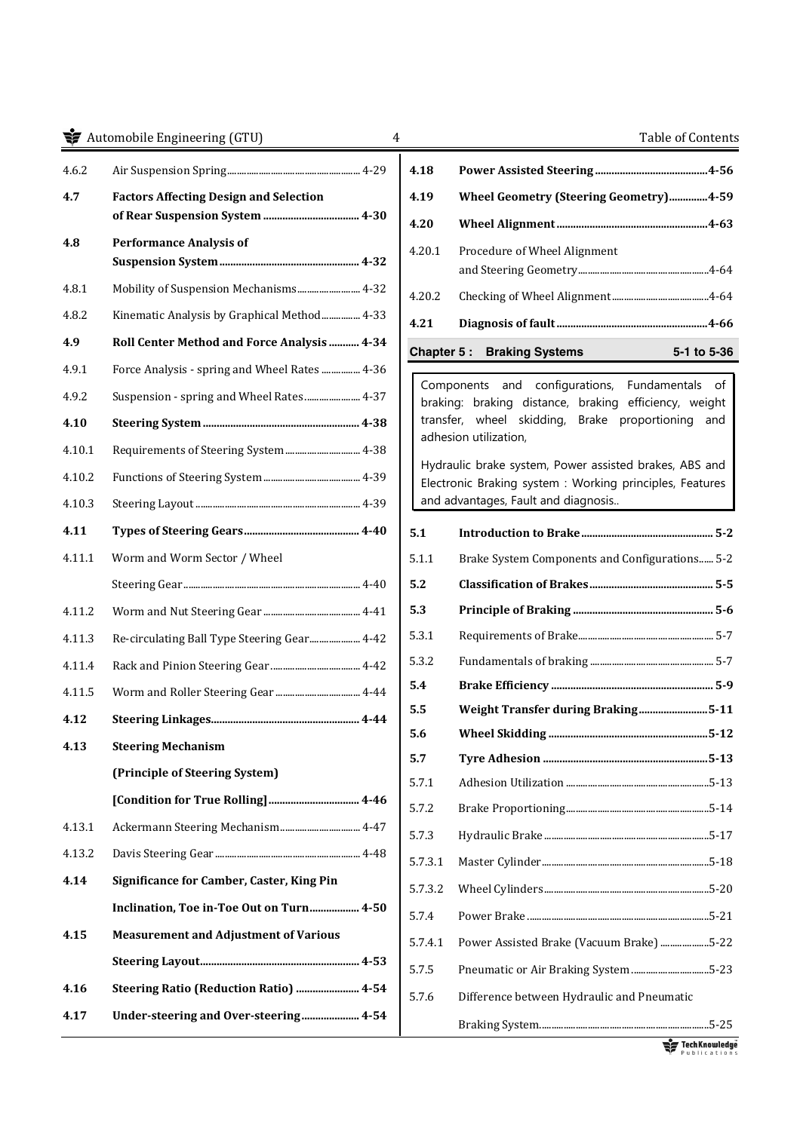# **Automobile Engineering (GTU)** 4 Automobile Engineering (GTU) 4 Automobile Engineering (GTU)

| 4.6.2  |                                                  |
|--------|--------------------------------------------------|
| 4.7    | <b>Factors Affecting Design and Selection</b>    |
| 4.8    | <b>Performance Analysis of</b>                   |
| 4.8.1  | Mobility of Suspension Mechanisms 4-32           |
| 4.8.2  | Kinematic Analysis by Graphical Method 4-33      |
| 4.9    | Roll Center Method and Force Analysis  4-34      |
| 4.9.1  | Force Analysis - spring and Wheel Rates  4-36    |
| 4.9.2  | Suspension - spring and Wheel Rates  4-37        |
| 4.10   |                                                  |
| 4.10.1 | Requirements of Steering System  4-38            |
| 4.10.2 |                                                  |
| 4.10.3 |                                                  |
| 4.11   |                                                  |
| 4.11.1 | Worm and Worm Sector / Wheel                     |
|        |                                                  |
|        |                                                  |
| 4.11.2 |                                                  |
| 4.11.3 | Re-circulating Ball Type Steering Gear 4-42      |
| 4.11.4 |                                                  |
| 4.11.5 |                                                  |
| 4.12   |                                                  |
| 4.13   | <b>Steering Mechanism</b>                        |
|        | (Principle of Steering System)                   |
|        |                                                  |
| 4.13.1 | Ackermann Steering Mechanism 4-47                |
| 4.13.2 |                                                  |
| 4.14   | <b>Significance for Camber, Caster, King Pin</b> |
|        | Inclination, Toe in-Toe Out on Turn 4-50         |
| 4.15   | <b>Measurement and Adjustment of Various</b>     |
|        |                                                  |
| 4.16   | Steering Ratio (Reduction Ratio)  4-54           |

| 4.18   |                                        |                     |
|--------|----------------------------------------|---------------------|
| 4.19   | Wheel Geometry (Steering Geometry)4-59 |                     |
| 4.20   |                                        |                     |
| 4.20.1 | Procedure of Wheel Alignment           |                     |
| 4.20.2 |                                        |                     |
| 4.21   |                                        |                     |
|        | <b>Chapter 5: Braking Systems</b>      | $5 - 1$ to $5 - 36$ |

Components and configurations, Fundamentals of braking: braking distance, braking efficiency, weight transfer, wheel skidding, Brake proportioning and adhesion utilization,

Hydraulic brake system, Power assisted brakes, ABS and Electronic Braking system : Working principles, Features and advantages, Fault and diagnosis..

| 5.1     |                                                |
|---------|------------------------------------------------|
| 5.1.1   | Brake System Components and Configurations 5-2 |
| 5.2     |                                                |
| 5.3     |                                                |
| 5.3.1   |                                                |
| 5.3.2   |                                                |
| 5.4     |                                                |
| 5.5     | Weight Transfer during Braking5-11             |
| 5.6     |                                                |
| 5.7     |                                                |
| 5.7.1   |                                                |
| 5.7.2   |                                                |
| 5.7.3   |                                                |
| 5.7.3.1 |                                                |
| 5.7.3.2 |                                                |
| 5.7.4   |                                                |
| 5.7.4.1 | Power Assisted Brake (Vacuum Brake) 5-22       |
| 5.7.5   | Pneumatic or Air Braking System 5-23           |
| 5.7.6   | Difference between Hydraulic and Pneumatic     |
|         |                                                |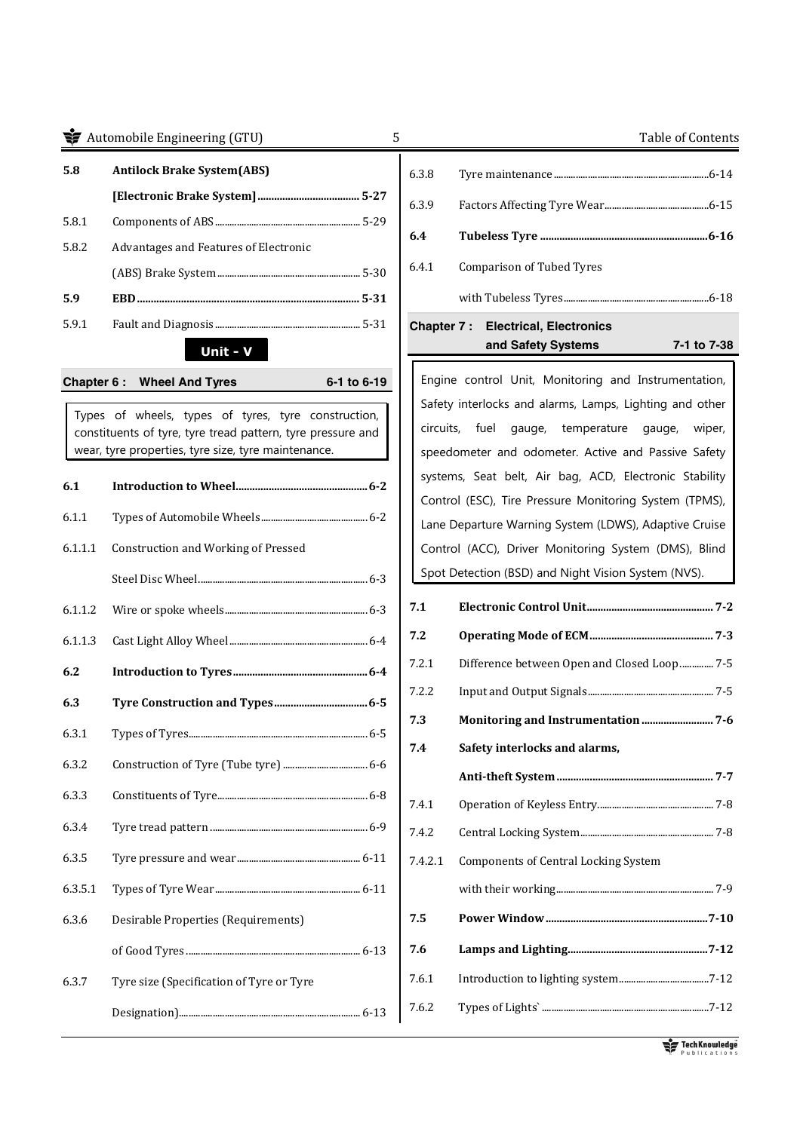#### **The Set of Contents** Automobile Engineering (GTU) 5 Table of Contents

| 5.8   | <b>Antilock Brake System (ABS)</b>    |  |
|-------|---------------------------------------|--|
|       |                                       |  |
| 5.8.1 |                                       |  |
| 5.8.2 | Advantages and Features of Electronic |  |
|       |                                       |  |
| 5.9   | .5-31                                 |  |
| 5.9.1 |                                       |  |

# **Unit - V**

#### **Chapter 6 : Wheel And Tyres 6-1 to 6-19**



Types of wheels, types of tyres, tyre construction, constituents of tyre, tyre tread pattern, tyre pressure and wear, tyre properties, tyre size, tyre maintenance.

| 6.1     |                                          |
|---------|------------------------------------------|
| 6.1.1   |                                          |
| 6.1.1.1 | Construction and Working of Pressed      |
|         |                                          |
| 6.1.1.2 |                                          |
| 6.1.1.3 |                                          |
| 6.2     |                                          |
| 6.3     |                                          |
| 6.3.1   |                                          |
| 6.3.2   |                                          |
| 6.3.3   |                                          |
| 6.3.4   |                                          |
| 6.3.5   |                                          |
| 6.3.5.1 |                                          |
| 6.3.6   | Desirable Properties (Requirements)      |
|         |                                          |
| 6.3.7   | Tyre size (Specification of Tyre or Tyre |
|         |                                          |

# 6.3.8 Tyre maintenance ................................................................6-14 6.3.9 Factors Affecting Tyre Wear ...........................................6-15 **6.4 Tubeless Tyre ............................................................. 6-16**  6.4.1 Comparison of Tubed Tyres with Tubeless Tyres ............................................................6-18

# **Chapter 7 : Electrical, Electronics and Safety Systems 7-1 to 7-38**

Engine control Unit, Monitoring and Instrumentation, Safety interlocks and alarms, Lamps, Lighting and other circuits, fuel gauge, temperature gauge, wiper, speedometer and odometer. Active and Passive Safety systems, Seat belt, Air bag, ACD, Electronic Stability Control (ESC), Tire Pressure Monitoring System (TPMS), Lane Departure Warning System (LDWS), Adaptive Cruise Control (ACC), Driver Monitoring System (DMS), Blind Spot Detection (BSD) and Night Vision System (NVS).

- **7.1 Electronic Control Unit .............................................. 7-2 7.2 Operating Mode of ECM ............................................. 7-3** 7.2.1 Difference between Open and Closed Loop .............. 7-5 7.2.2 Input and Output Signals .................................................... 7-5 **7.3 Monitoring and Instrumentation .......................... 7-6 7.4 Safety interlocks and alarms,**
- **Anti-theft System ......................................................... 7-7**  7.4.1 Operation of Keyless Entry................................................ 7-8 7.4.2 Central Locking System ....................................................... 7-8 7.4.2.1 Components of Central Locking System with their working ................................................................. 7-9 **7.5 Power Window ........................................................... 7-10 7.6 Lamps and Lighting................................................... 7-12** 7.6.1 Introduction to lighting system .....................................7-12

7.6.2 Types of Lights` .....................................................................7-12

Tech Knowledge